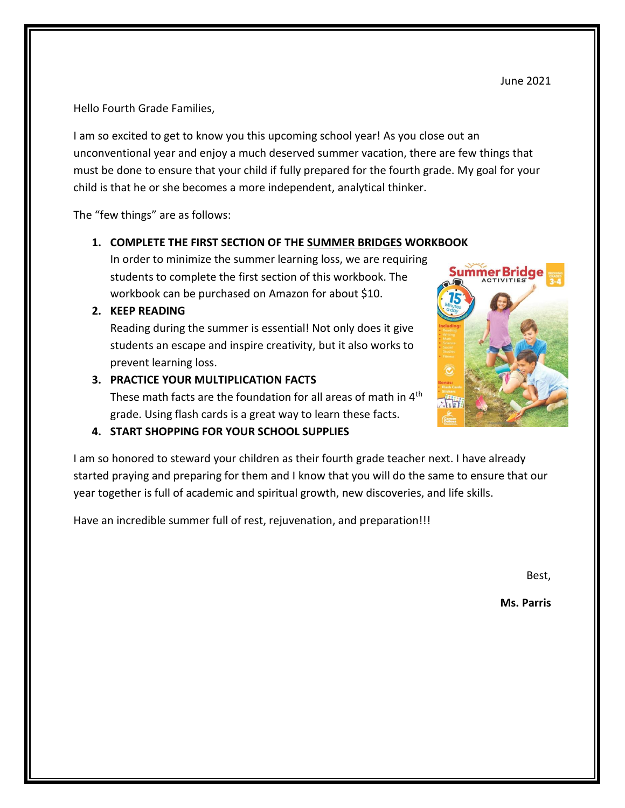Hello Fourth Grade Families,

I am so excited to get to know you this upcoming school year! As you close out an unconventional year and enjoy a much deserved summer vacation, there are few things that must be done to ensure that your child if fully prepared for the fourth grade. My goal for your child is that he or she becomes a more independent, analytical thinker.

The "few things" are as follows:

#### **1. COMPLETE THE FIRST SECTION OF THE SUMMER BRIDGES WORKBOOK**

In order to minimize the summer learning loss, we are requiring students to complete the first section of this workbook. The workbook can be purchased on Amazon for about \$10.

#### **2. KEEP READING**

Reading during the summer is essential! Not only does it give students an escape and inspire creativity, but it also works to prevent learning loss.

#### **3. PRACTICE YOUR MULTIPLICATION FACTS**

These math facts are the foundation for all areas of math in 4<sup>th</sup> grade. Using flash cards is a great way to learn these facts.

#### **4. START SHOPPING FOR YOUR SCHOOL SUPPLIES**

I am so honored to steward your children as their fourth grade teacher next. I have already started praying and preparing for them and I know that you will do the same to ensure that our year together is full of academic and spiritual growth, new discoveries, and life skills.

Have an incredible summer full of rest, rejuvenation, and preparation!!!

Best,

**Ms. Parris**

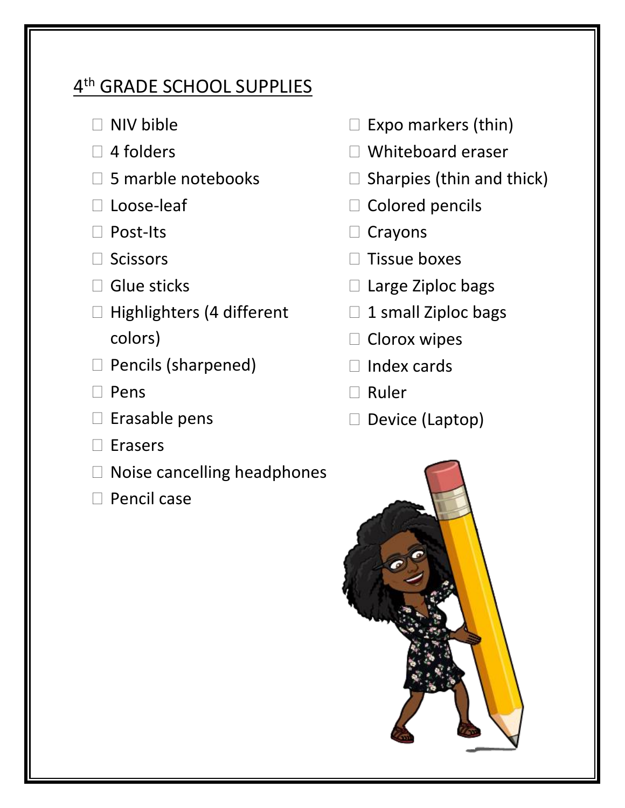## 4<sup>th</sup> GRADE SCHOOL SUPPLIES

- $\Box$  NIV bible
- $\Box$  4 folders
- $\square$  5 marble notebooks
- □ Loose-leaf
- □ Post-Its
- □ Scissors
- $\square$  Glue sticks
- $\Box$  Highlighters (4 different colors)
- $\Box$  Pencils (sharpened)
- $\Box$  Pens
- $\square$  Erasable pens
- $\Box$  Erasers
- $\Box$  Noise cancelling headphones
- $\Box$  Pencil case
- $\square$  Expo markers (thin)
- Whiteboard eraser
- $\square$  Sharpies (thin and thick)
- $\square$  Colored pencils
- $\Box$  Crayons
- $\Box$  Tissue boxes
- $\square$  Large Ziploc bags
- $\Box$  1 small Ziploc bags
- $\square$  Clorox wipes
- $\Box$  Index cards
- $\Box$  Ruler
- $\square$  Device (Laptop)

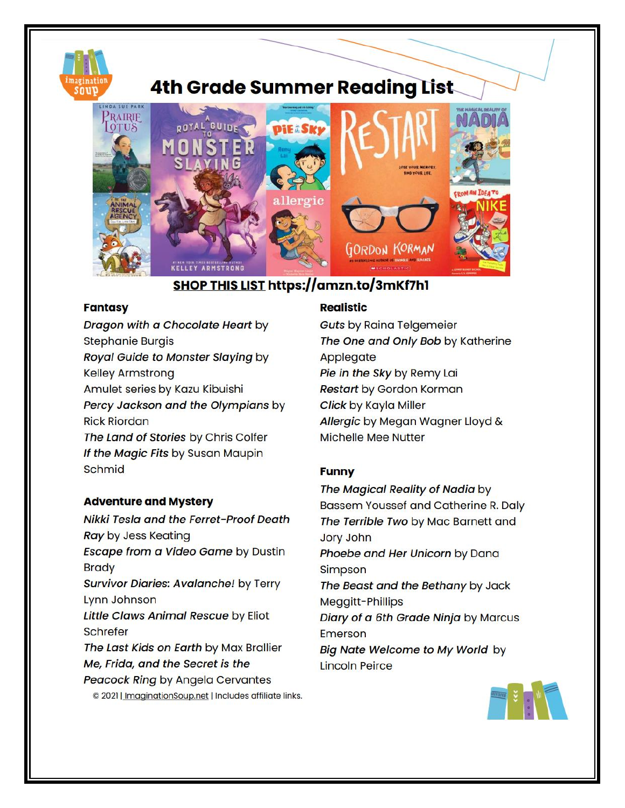

# **4th Grade Summer Reading List**



## SHOP THIS LIST https://amzn.to/3mKf7h1

#### **Fantasy**

Dragon with a Chocolate Heart by **Stephanie Burgis** Royal Guide to Monster Slaying by **Kelley Armstrong** Amulet series by Kazu Kibuishi Percy Jackson and the Olympians by **Rick Riordan** The Land of Stories by Chris Colfer If the Magic Fits by Susan Maupin Schmid

#### **Adventure and Mystery**

Nikki Tesla and the Ferret-Proof Death **Ray by Jess Keating** Escape from a Video Game by Dustin **Brady Survivor Diaries: Avalanche!** by Terry Lynn Johnson Little Claws Animal Rescue by Eliot **Schrefer** The Last Kids on Earth by Max Brallier Me, Frida, and the Secret is the **Peacock Ring by Angela Cervantes** © 2021 | ImaginationSoup.net | Includes affiliate links.

#### **Realistic**

**Guts by Raina Telgemeier** The One and Only Bob by Katherine Applegate Pie in the Sky by Remy Lai **Restart by Gordon Korman** Click by Kayla Miller Allergic by Megan Wagner Lloyd & **Michelle Mee Nutter** 

#### **Funny**

The Magical Reality of Nadia by Bassem Youssef and Catherine R. Daly The Terrible Two by Mac Barnett and **Jory John** Phoebe and Her Unicorn by Dana Simpson The Beast and the Bethany by Jack Meggitt-Phillips Diary of a 6th Grade Ninja by Marcus Emerson **Big Nate Welcome to My World by Lincoln Peirce**